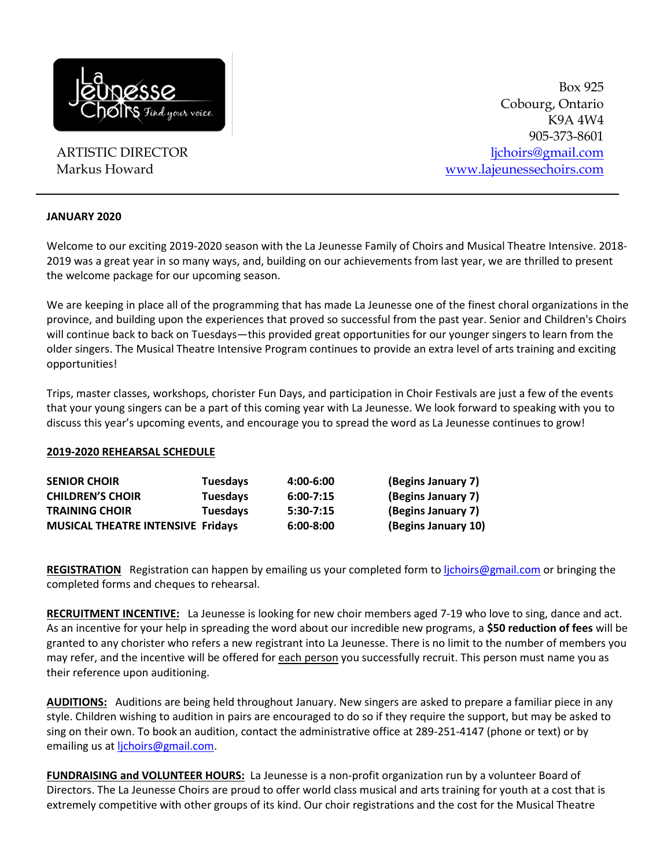

ARTISTIC DIRECTOR Markus Howard

Box 925 Cobourg, Ontario K9A 4W4 905-373-8601 [ljchoirs@gmail.com](mailto:ljchoirs@gmail.com) [www.lajeunessechoirs.com](http://www.lajeunessechoirs.com/)

#### **JANUARY 2020**

Welcome to our exciting 2019-2020 season with the La Jeunesse Family of Choirs and Musical Theatre Intensive. 2018- 2019 was a great year in so many ways, and, building on our achievements from last year, we are thrilled to present the welcome package for our upcoming season.

We are keeping in place all of the programming that has made La Jeunesse one of the finest choral organizations in the province, and building upon the experiences that proved so successful from the past year. Senior and Children's Choirs will continue back to back on Tuesdays—this provided great opportunities for our younger singers to learn from the older singers. The Musical Theatre Intensive Program continues to provide an extra level of arts training and exciting opportunities!

Trips, master classes, workshops, chorister Fun Days, and participation in Choir Festivals are just a few of the events that your young singers can be a part of this coming year with La Jeunesse. We look forward to speaking with you to discuss this year's upcoming events, and encourage you to spread the word as La Jeunesse continues to grow!

#### **2019-2020 REHEARSAL SCHEDULE**

| <b>SENIOR CHOIR</b>                      | <b>Tuesdays</b> | 4:00-6:00     | (Begins January 7)  |
|------------------------------------------|-----------------|---------------|---------------------|
| <b>CHILDREN'S CHOIR</b>                  | <b>Tuesdays</b> | $6:00 - 7:15$ | (Begins January 7)  |
| <b>TRAINING CHOIR</b>                    | Tuesdays        | $5:30-7:15$   | (Begins January 7)  |
| <b>MUSICAL THEATRE INTENSIVE Fridays</b> |                 | $6:00 - 8:00$ | (Begins January 10) |

**REGISTRATION** Registration can happen by emailing us your completed form to [ljchoirs@gmail.com](mailto:ljchoirs@gmail.com) or bringing the completed forms and cheques to rehearsal.

**RECRUITMENT INCENTIVE:** La Jeunesse is looking for new choir members aged 7-19 who love to sing, dance and act. As an incentive for your help in spreading the word about our incredible new programs, a **\$50 reduction of fees** will be granted to any chorister who refers a new registrant into La Jeunesse. There is no limit to the number of members you may refer, and the incentive will be offered for each person you successfully recruit. This person must name you as their reference upon auditioning.

**AUDITIONS:** Auditions are being held throughout January. New singers are asked to prepare a familiar piece in any style. Children wishing to audition in pairs are encouraged to do so if they require the support, but may be asked to sing on their own. To book an audition, contact the administrative office at 289-251-4147 (phone or text) or by emailing us at lichoirs@gmail.com.

**FUNDRAISING and VOLUNTEER HOURS:** La Jeunesse is a non-profit organization run by a volunteer Board of Directors. The La Jeunesse Choirs are proud to offer world class musical and arts training for youth at a cost that is extremely competitive with other groups of its kind. Our choir registrations and the cost for the Musical Theatre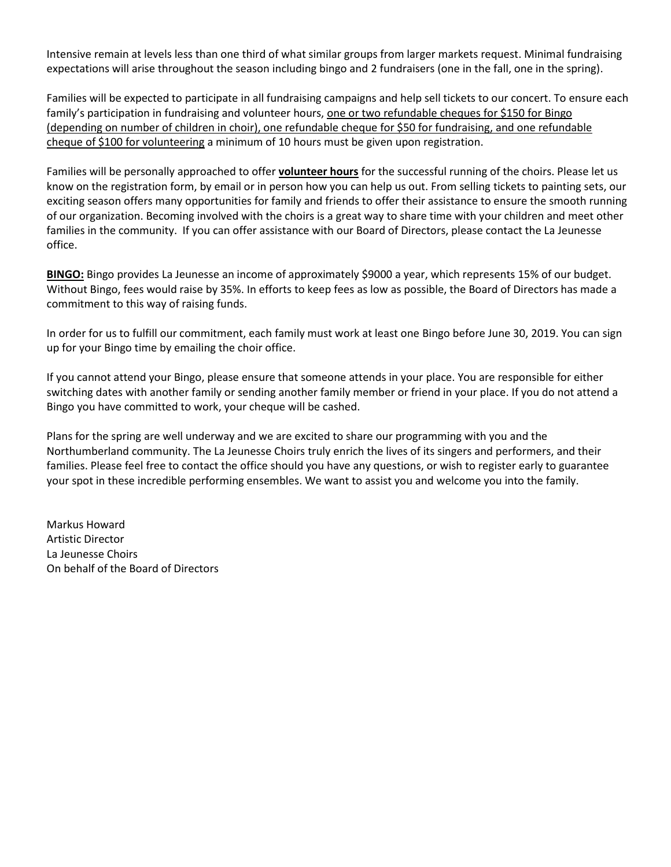Intensive remain at levels less than one third of what similar groups from larger markets request. Minimal fundraising expectations will arise throughout the season including bingo and 2 fundraisers (one in the fall, one in the spring).

Families will be expected to participate in all fundraising campaigns and help sell tickets to our concert. To ensure each family's participation in fundraising and volunteer hours, one or two refundable cheques for \$150 for Bingo (depending on number of children in choir), one refundable cheque for \$50 for fundraising, and one refundable cheque of \$100 for volunteering a minimum of 10 hours must be given upon registration.

Families will be personally approached to offer **volunteer hours** for the successful running of the choirs. Please let us know on the registration form, by email or in person how you can help us out. From selling tickets to painting sets, our exciting season offers many opportunities for family and friends to offer their assistance to ensure the smooth running of our organization. Becoming involved with the choirs is a great way to share time with your children and meet other families in the community. If you can offer assistance with our Board of Directors, please contact the La Jeunesse office.

**BINGO:** Bingo provides La Jeunesse an income of approximately \$9000 a year, which represents 15% of our budget. Without Bingo, fees would raise by 35%. In efforts to keep fees as low as possible, the Board of Directors has made a commitment to this way of raising funds.

In order for us to fulfill our commitment, each family must work at least one Bingo before June 30, 2019. You can sign up for your Bingo time by emailing the choir office.

If you cannot attend your Bingo, please ensure that someone attends in your place. You are responsible for either switching dates with another family or sending another family member or friend in your place. If you do not attend a Bingo you have committed to work, your cheque will be cashed.

Plans for the spring are well underway and we are excited to share our programming with you and the Northumberland community. The La Jeunesse Choirs truly enrich the lives of its singers and performers, and their families. Please feel free to contact the office should you have any questions, or wish to register early to guarantee your spot in these incredible performing ensembles. We want to assist you and welcome you into the family.

Markus Howard Artistic Director La Jeunesse Choirs On behalf of the Board of Directors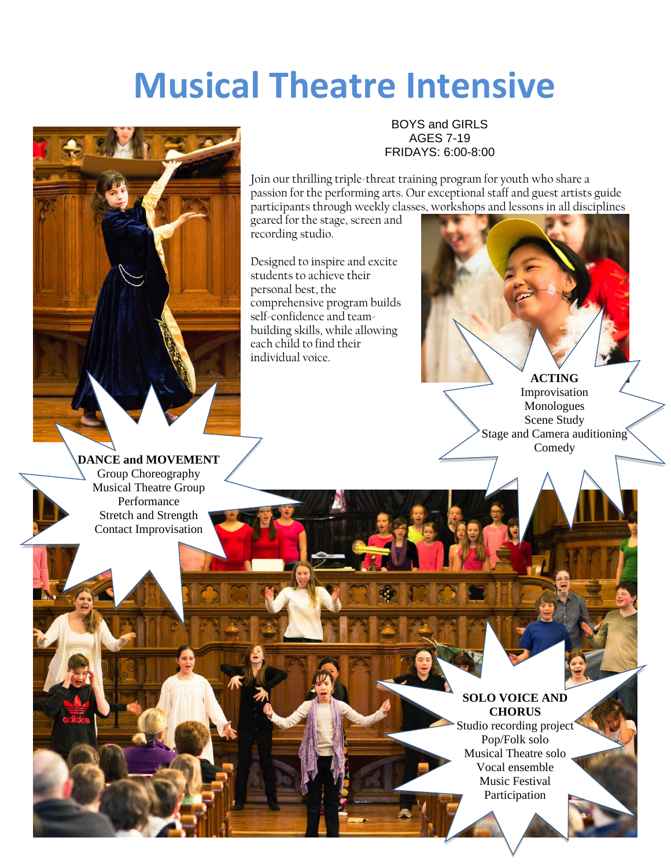# **Musical Theatre Intensive**



BOYS and GIRLS AGES 7-19 FRIDAYS: 6:00-8:00

Join our thrilling triple-threat training program for youth who share a passion for the performing arts. Our exceptional staff and guest artists guide participants through weekly classes, workshops and lessons in all disciplines

geared for the stage, screen and recording studio.

Designed to inspire and excite students to achieve their personal best, the comprehensive program builds self-confidence and teambuilding skills, while allowing each child to find their individual voice.



**ACTING** Improvisation Monologues Scene Study Stage and Camera auditioning Comedy

**DANCE and MOVEMENT** Group Choreography Musical Theatre Group Performance Stretch and Strength Contact Improvisation

# **SOLO VOICE AND CHORUS**

Studio recording project Pop/Folk solo Musical Theatre solo Vocal ensemble Music Festival Participation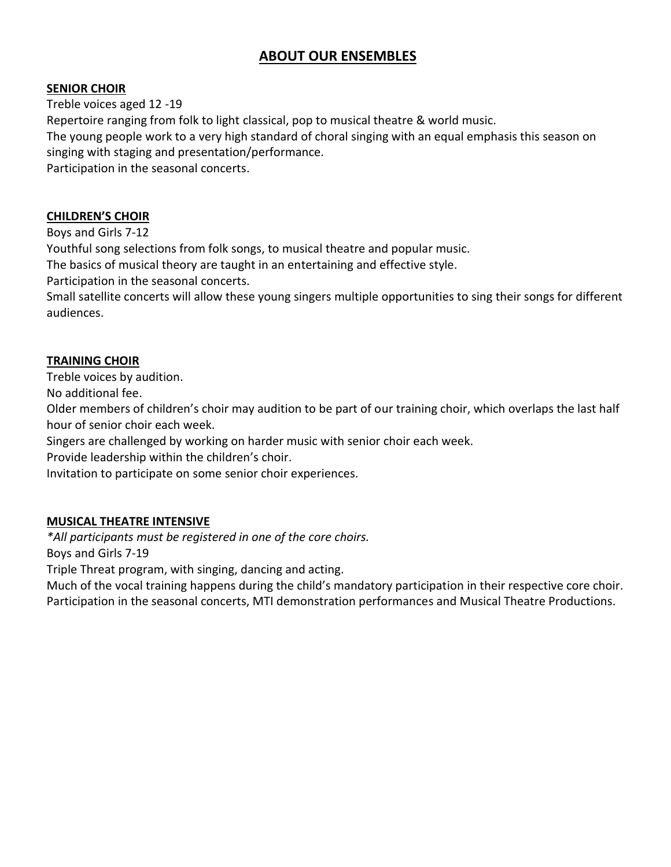# **ABOUT OUR ENSEMBLES**

#### **SENIOR CHOIR**

Treble voices aged 12 -19 Repertoire ranging from folk to light classical, pop to musical theatre & world music. The young people work to a very high standard of choral singing with an equal emphasis this season on singing with staging and presentation/performance. Participation in the seasonal concerts.

#### **CHILDREN'S CHOIR**

Boys and Girls 7-12

Youthful song selections from folk songs, to musical theatre and popular music.

The basics of musical theory are taught in an entertaining and effective style.

Participation in the seasonal concerts.

Small satellite concerts will allow these young singers multiple opportunities to sing their songs for different audiences.

# **TRAINING CHOIR**

Treble voices by audition.

No additional fee.

Older members of children's choir may audition to be part of our training choir, which overlaps the last half hour of senior choir each week.

Singers are challenged by working on harder music with senior choir each week.

Provide leadership within the children's choir.

Invitation to participate on some senior choir experiences.

### **MUSICAL THEATRE INTENSIVE**

*\*All participants must be registered in one of the core choirs.*

Boys and Girls 7-19

Triple Threat program, with singing, dancing and acting.

Much of the vocal training happens during the child's mandatory participation in their respective core choir. Participation in the seasonal concerts, MTI demonstration performances and Musical Theatre Productions.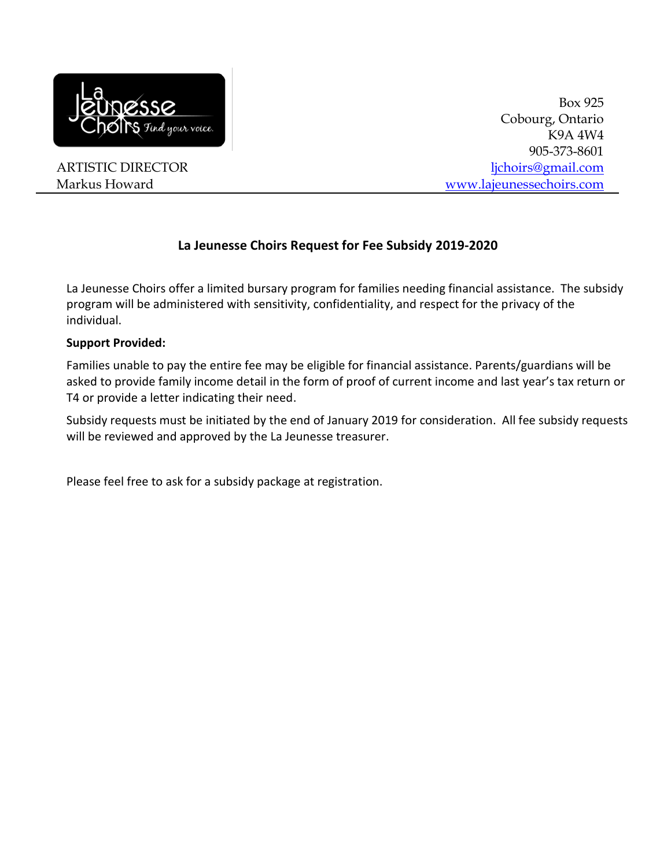

ARTISTIC DIRECTOR Markus Howard

Box 925 Cobourg, Ontario K9A 4W4 905-373-8601 [ljchoirs@gmail.com](mailto:ljchoirs@gmail.com) [www.lajeunessechoirs.com](http://www.lajeunessechoirs.com/)

# **La Jeunesse Choirs Request for Fee Subsidy 2019-2020**

La Jeunesse Choirs offer a limited bursary program for families needing financial assistance. The subsidy program will be administered with sensitivity, confidentiality, and respect for the privacy of the individual.

#### **Support Provided:**

Families unable to pay the entire fee may be eligible for financial assistance. Parents/guardians will be asked to provide family income detail in the form of proof of current income and last year's tax return or T4 or provide a letter indicating their need.

Subsidy requests must be initiated by the end of January 2019 for consideration. All fee subsidy requests will be reviewed and approved by the La Jeunesse treasurer.

Please feel free to ask for a subsidy package at registration.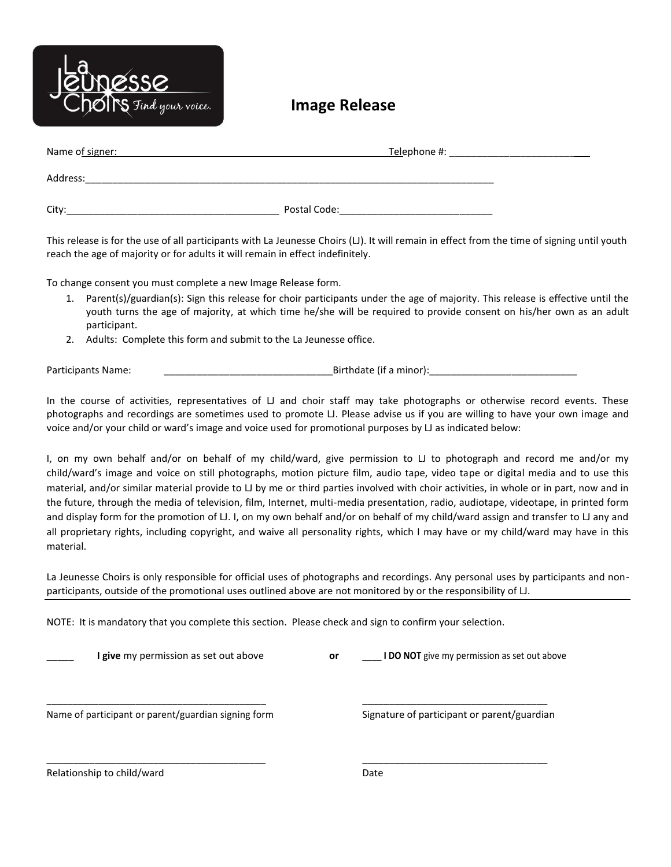

**Image Release** 

| Name of signer: | Telephone #: |  |  |  |
|-----------------|--------------|--|--|--|
| Address:        |              |  |  |  |
| City:           | Postal Code: |  |  |  |

This release is for the use of all participants with La Jeunesse Choirs (LJ). It will remain in effect from the time of signing until youth reach the age of majority or for adults it will remain in effect indefinitely.

To change consent you must complete a new Image Release form.

- 1. Parent(s)/guardian(s): Sign this release for choir participants under the age of majority. This release is effective until the youth turns the age of majority, at which time he/she will be required to provide consent on his/her own as an adult participant.
- 2. Adults: Complete this form and submit to the La Jeunesse office.

Participants Name: \_\_\_\_\_\_\_\_\_\_\_\_\_\_\_\_\_\_\_\_\_\_\_\_\_\_\_\_\_\_\_Birthdate (if a minor):\_\_\_\_\_\_\_\_\_\_\_\_\_\_\_\_\_\_\_\_\_\_\_\_\_\_\_

In the course of activities, representatives of  $\Box$  and choir staff may take photographs or otherwise record events. These photographs and recordings are sometimes used to promote LJ. Please advise us if you are willing to have your own image and voice and/or your child or ward's image and voice used for promotional purposes by LJ as indicated below:

I, on my own behalf and/or on behalf of my child/ward, give permission to LJ to photograph and record me and/or my child/ward's image and voice on still photographs, motion picture film, audio tape, video tape or digital media and to use this material, and/or similar material provide to LJ by me or third parties involved with choir activities, in whole or in part, now and in the future, through the media of television, film, Internet, multi-media presentation, radio, audiotape, videotape, in printed form and display form for the promotion of LJ. I, on my own behalf and/or on behalf of my child/ward assign and transfer to LJ any and all proprietary rights, including copyright, and waive all personality rights, which I may have or my child/ward may have in this material.

La Jeunesse Choirs is only responsible for official uses of photographs and recordings. Any personal uses by participants and nonparticipants, outside of the promotional uses outlined above are not monitored by or the responsibility of LJ.

NOTE: It is mandatory that you complete this section. Please check and sign to confirm your selection.

| <b>I give</b> my permission as set out above        | or | <b>I DO NOT</b> give my permission as set out above |
|-----------------------------------------------------|----|-----------------------------------------------------|
| Name of participant or parent/guardian signing form |    | Signature of participant or parent/guardian         |
| Relationship to child/ward                          |    | Date                                                |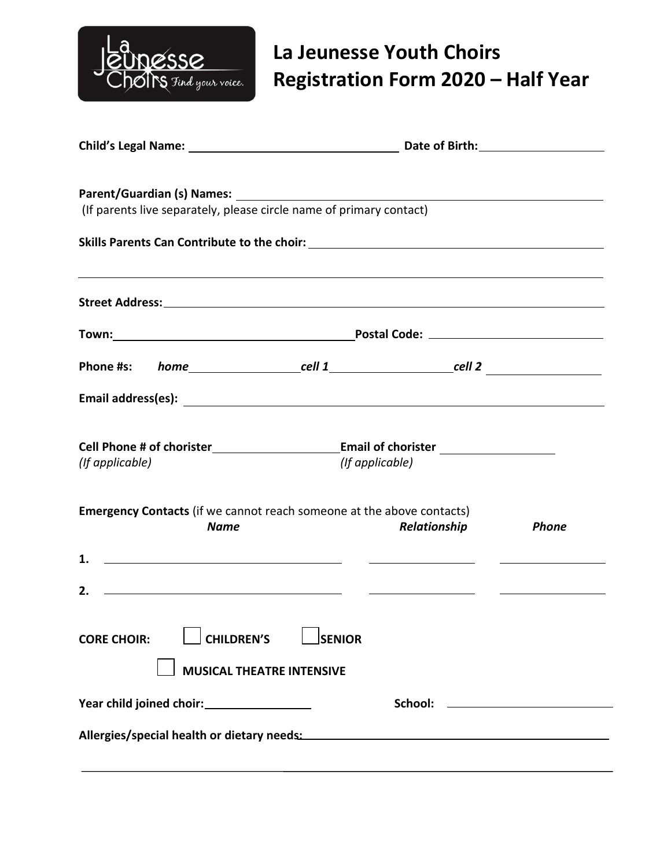

# **La Jeunesse Youth Choirs Registration Form 2020 – Half Year**

|                    |             | (If parents live separately, please circle name of primary contact) |                 |                                                                                                                                                                                                                                      |                                                                                  |
|--------------------|-------------|---------------------------------------------------------------------|-----------------|--------------------------------------------------------------------------------------------------------------------------------------------------------------------------------------------------------------------------------------|----------------------------------------------------------------------------------|
|                    |             |                                                                     |                 |                                                                                                                                                                                                                                      |                                                                                  |
|                    |             |                                                                     |                 |                                                                                                                                                                                                                                      | ,我们也不会有什么。""我们的人,我们也不会有什么?""我们的人,我们也不会有什么?""我们的人,我们也不会有什么?""我们的人,我们也不会有什么?""我们的人 |
|                    |             |                                                                     |                 |                                                                                                                                                                                                                                      |                                                                                  |
|                    |             |                                                                     |                 |                                                                                                                                                                                                                                      |                                                                                  |
|                    |             |                                                                     |                 |                                                                                                                                                                                                                                      |                                                                                  |
| (If applicable)    |             |                                                                     | (If applicable) |                                                                                                                                                                                                                                      |                                                                                  |
|                    | <b>Name</b> |                                                                     |                 | <b>Emergency Contacts</b> (if we cannot reach someone at the above contacts)<br>Relationship                                                                                                                                         | <b>Phone</b>                                                                     |
| 1.                 |             | <u> 1989 - Johann Barn, fransk politik (f. 1989)</u>                |                 |                                                                                                                                                                                                                                      |                                                                                  |
| 2.                 |             | <u> 1989 - Johann Barn, fransk politik (d. 1989)</u>                |                 | <u> Albany a Communication and the Communication of the Communication of the Communication of the Communication of the Communication of the Communication of the Communication of the Communication of the Communication of the </u> |                                                                                  |
| <b>CORE CHOIR:</b> |             | <b>CHILDREN'S</b>                                                   | <b>SENIOR</b>   |                                                                                                                                                                                                                                      |                                                                                  |
|                    |             | <b>MUSICAL THEATRE INTENSIVE</b>                                    |                 |                                                                                                                                                                                                                                      |                                                                                  |
|                    |             |                                                                     |                 |                                                                                                                                                                                                                                      |                                                                                  |
|                    |             |                                                                     |                 | Allergies/special health or dietary needs: National Communications of the control of the control of the control of the control of the control of the control of the control of the control of the control of the control of th       |                                                                                  |